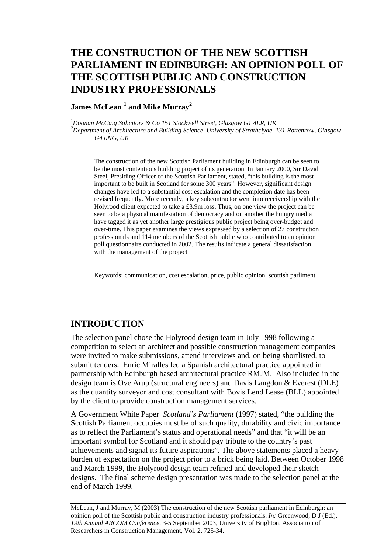# **THE CONSTRUCTION OF THE NEW SCOTTISH PARLIAMENT IN EDINBURGH: AN OPINION POLL OF THE SCOTTISH PUBLIC AND CONSTRUCTION INDUSTRY PROFESSIONALS**

#### **James McLean <sup>1</sup> and Mike Murray<sup>2</sup>**

*1 Doonan McCaig Solicitors & Co 151 Stockwell Street, Glasgow G1 4LR, UK 2 Department of Architecture and Building Science, University of Strathclyde, 131 Rottenrow, Glasgow, G4 0NG, UK* 

The construction of the new Scottish Parliament building in Edinburgh can be seen to be the most contentious building project of its generation. In January 2000, Sir David Steel, Presiding Officer of the Scottish Parliament, stated, "this building is the most important to be built in Scotland for some 300 years". However, significant design changes have led to a substantial cost escalation and the completion date has been revised frequently. More recently, a key subcontractor went into receivership with the Holyrood client expected to take a £3.9m loss. Thus, on one view the project can be seen to be a physical manifestation of democracy and on another the hungry media have tagged it as yet another large prestigious public project being over-budget and over-time. This paper examines the views expressed by a selection of 27 construction professionals and 114 members of the Scottish public who contributed to an opinion poll questionnaire conducted in 2002. The results indicate a general dissatisfaction with the management of the project.

Keywords: communication, cost escalation, price, public opinion, scottish parliment

#### **INTRODUCTION**

The selection panel chose the Holyrood design team in July 1998 following a competition to select an architect and possible construction management companies were invited to make submissions, attend interviews and, on being shortlisted, to submit tenders. Enric Miralles led a Spanish architectural practice appointed in partnership with Edinburgh based architectural practice RMJM. Also included in the design team is Ove Arup (structural engineers) and Davis Langdon & Everest (DLE) as the quantity surveyor and cost consultant with Bovis Lend Lease (BLL) appointed by the client to provide construction management services.

A Government White Paper *Scotland's Parliament* (1997) stated, "the building the Scottish Parliament occupies must be of such quality, durability and civic importance as to reflect the Parliament's status and operational needs" and that "it will be an important symbol for Scotland and it should pay tribute to the country's past achievements and signal its future aspirations". The above statements placed a heavy burden of expectation on the project prior to a brick being laid. Between October 1998 and March 1999, the Holyrood design team refined and developed their sketch designs. The final scheme design presentation was made to the selection panel at the end of March 1999.

McLean, J and Murray, M (2003) The construction of the new Scottish parliament in Edinburgh: an opinion poll of the Scottish public and construction industry professionals. *In:* Greenwood, D J (Ed.), *19th Annual ARCOM Conference*, 3-5 September 2003, University of Brighton. Association of Researchers in Construction Management, Vol. 2, 725-34.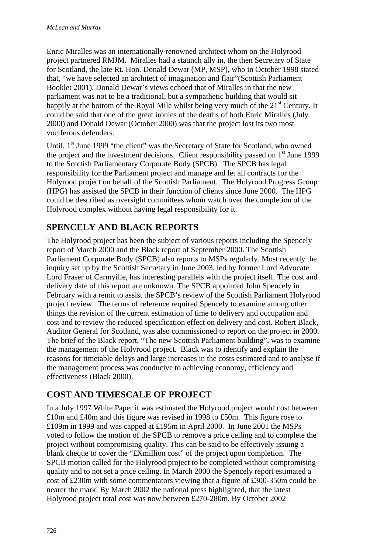Enric Miralles was an internationally renowned architect whom on the Holyrood project partnered RMJM. Miralles had a staunch ally in, the then Secretary of State for Scotland, the late Rt. Hon. Donald Dewar (MP, MSP), who in October 1998 stated that, "we have selected an architect of imagination and flair"(Scottish Parliament Booklet 2001). Donald Dewar's views echoed that of Miralles in that the new parliament was not to be a traditional, but a sympathetic building that would sit happily at the bottom of the Royal Mile whilst being very much of the 21<sup>st</sup> Century. It could be said that one of the great ironies of the deaths of both Enric Miralles (July 2000) and Donald Dewar (October 2000) was that the project lost its two most vociferous defenders.

Until,  $1<sup>st</sup>$  June 1999 "the client" was the Secretary of State for Scotland, who owned the project and the investment decisions. Client responsibility passed on 1<sup>st</sup> June 1999 to the Scottish Parliamentary Corporate Body (SPCB). The SPCB has legal responsibility for the Parliament project and manage and let all contracts for the Holyrood project on behalf of the Scottish Parliament. The Holyrood Progress Group (HPG) has assisted the SPCB in their function of clients since June 2000. The HPG could be described as oversight committees whom watch over the completion of the Holyrood complex without having legal responsibility for it.

# **SPENCELY AND BLACK REPORTS**

The Holyrood project has been the subject of various reports including the Spencely report of March 2000 and the Black report of September 2000. The Scottish Parliament Corporate Body (SPCB) also reports to MSPs regularly. Most recently the inquiry set up by the Scottish Secretary in June 2003, led by former Lord Advocate Lord Fraser of Carmyille, has interesting parallels with the project itself. The cost and delivery date of this report are unknown. The SPCB appointed John Spencely in February with a remit to assist the SPCB's review of the Scottish Parliament Holyrood project review. The terms of reference required Spencely to examine among other things the revision of the current estimation of time to delivery and occupation and cost and to review the reduced specification effect on delivery and cost. Robert Black, Auditor General for Scotland, was also commissioned to report on the project in 2000. The brief of the Black report, "The new Scottish Parliament building", was to examine the management of the Holyrood project. Black was to identify and explain the reasons for timetable delays and large increases in the costs estimated and to analyse if the management process was conducive to achieving economy, efficiency and effectiveness (Black 2000).

# **COST AND TIMESCALE OF PROJECT**

In a July 1997 White Paper it was estimated the Holyrood project would cost between £10m and £40m and this figure was revised in 1998 to £50m. This figure rose to £109m in 1999 and was capped at £195m in April 2000. In June 2001 the MSPs voted to follow the motion of the SPCB to remove a price ceiling and to complete the project without compromising quality. This can be said to be effectively issuing a blank cheque to cover the "£Xmillion cost" of the project upon completion. The SPCB motion called for the Holyrood project to be completed without compromising quality and to not set a price ceiling. In March 2000 the Spencely report estimated a cost of £230m with some commentators viewing that a figure of £300-350m could be nearer the mark. By March 2002 the national press highlighted, that the latest Holyrood project total cost was now between £270-280m. By October 2002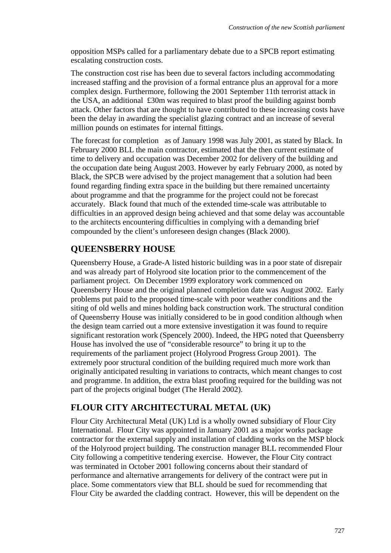opposition MSPs called for a parliamentary debate due to a SPCB report estimating escalating construction costs.

The construction cost rise has been due to several factors including accommodating increased staffing and the provision of a formal entrance plus an approval for a more complex design. Furthermore, following the 2001 September 11th terrorist attack in the USA, an additional £30m was required to blast proof the building against bomb attack. Other factors that are thought to have contributed to these increasing costs have been the delay in awarding the specialist glazing contract and an increase of several million pounds on estimates for internal fittings.

The forecast for completion as of January 1998 was July 2001, as stated by Black. In February 2000 BLL the main contractor, estimated that the then current estimate of time to delivery and occupation was December 2002 for delivery of the building and the occupation date being August 2003. However by early February 2000, as noted by Black, the SPCB were advised by the project management that a solution had been found regarding finding extra space in the building but there remained uncertainty about programme and that the programme for the project could not be forecast accurately. Black found that much of the extended time-scale was attributable to difficulties in an approved design being achieved and that some delay was accountable to the architects encountering difficulties in complying with a demanding brief compounded by the client's unforeseen design changes (Black 2000).

## **QUEENSBERRY HOUSE**

Queensberry House, a Grade-A listed historic building was in a poor state of disrepair and was already part of Holyrood site location prior to the commencement of the parliament project. On December 1999 exploratory work commenced on Queensberry House and the original planned completion date was August 2002. Early problems put paid to the proposed time-scale with poor weather conditions and the siting of old wells and mines holding back construction work. The structural condition of Queensberry House was initially considered to be in good condition although when the design team carried out a more extensive investigation it was found to require significant restoration work (Spencely 2000). Indeed, the HPG noted that Queensberry House has involved the use of "considerable resource" to bring it up to the requirements of the parliament project (Holyrood Progress Group 2001). The extremely poor structural condition of the building required much more work than originally anticipated resulting in variations to contracts, which meant changes to cost and programme. In addition, the extra blast proofing required for the building was not part of the projects original budget (The Herald 2002).

# **FLOUR CITY ARCHITECTURAL METAL (UK)**

Flour City Architectural Metal (UK) Ltd is a wholly owned subsidiary of Flour City International. Flour City was appointed in January 2001 as a major works package contractor for the external supply and installation of cladding works on the MSP block of the Holyrood project building. The construction manager BLL recommended Flour City following a competitive tendering exercise. However, the Flour City contract was terminated in October 2001 following concerns about their standard of performance and alternative arrangements for delivery of the contract were put in place. Some commentators view that BLL should be sued for recommending that Flour City be awarded the cladding contract. However, this will be dependent on the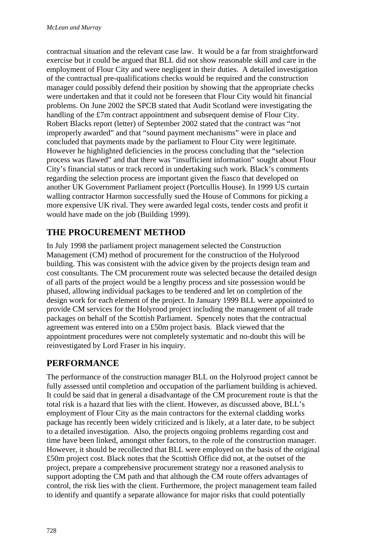contractual situation and the relevant case law. It would be a far from straightforward exercise but it could be argued that BLL did not show reasonable skill and care in the employment of Flour City and were negligent in their duties. A detailed investigation of the contractual pre-qualifications checks would be required and the construction manager could possibly defend their position by showing that the appropriate checks were undertaken and that it could not be foreseen that Flour City would hit financial problems. On June 2002 the SPCB stated that Audit Scotland were investigating the handling of the £7m contract appointment and subsequent demise of Flour City. Robert Blacks report (letter) of September 2002 stated that the contract was "not improperly awarded" and that "sound payment mechanisms" were in place and concluded that payments made by the parliament to Flour City were legitimate. However he highlighted deficiencies in the process concluding that the "selection process was flawed" and that there was "insufficient information" sought about Flour City's financial status or track record in undertaking such work. Black's comments regarding the selection process are important given the fiasco that developed on another UK Government Parliament project (Portcullis House). In 1999 US curtain walling contractor Harmon successfully sued the House of Commons for picking a more expensive UK rival. They were awarded legal costs, tender costs and profit it would have made on the job (Building 1999).

### **THE PROCUREMENT METHOD**

In July 1998 the parliament project management selected the Construction Management (CM) method of procurement for the construction of the Holyrood building. This was consistent with the advice given by the projects design team and cost consultants. The CM procurement route was selected because the detailed design of all parts of the project would be a lengthy process and site possession would be phased, allowing individual packages to be tendered and let on completion of the design work for each element of the project. In January 1999 BLL were appointed to provide CM services for the Holyrood project including the management of all trade packages on behalf of the Scottish Parliament. Spencely notes that the contractual agreement was entered into on a £50m project basis. Black viewed that the appointment procedures were not completely systematic and no-doubt this will be reinvestigated by Lord Fraser in his inquiry.

## **PERFORMANCE**

The performance of the construction manager BLL on the Holyrood project cannot be fully assessed until completion and occupation of the parliament building is achieved. It could be said that in general a disadvantage of the CM procurement route is that the total risk is a hazard that lies with the client. However, as discussed above, BLL's employment of Flour City as the main contractors for the external cladding works package has recently been widely criticized and is likely, at a later date, to be subject to a detailed investigation. Also, the projects ongoing problems regarding cost and time have been linked, amongst other factors, to the role of the construction manager. However, it should be recollected that BLL were employed on the basis of the original £50m project cost. Black notes that the Scottish Office did not, at the outset of the project, prepare a comprehensive procurement strategy nor a reasoned analysis to support adopting the CM path and that although the CM route offers advantages of control, the risk lies with the client. Furthermore, the project management team failed to identify and quantify a separate allowance for major risks that could potentially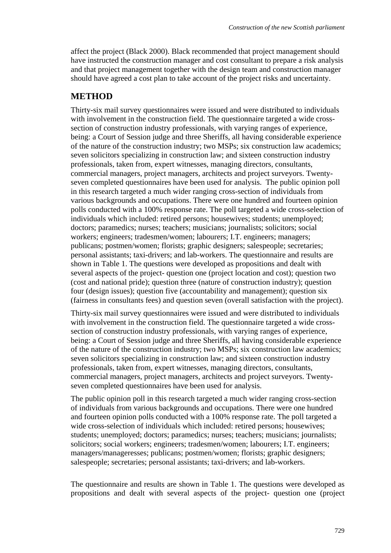affect the project (Black 2000). Black recommended that project management should have instructed the construction manager and cost consultant to prepare a risk analysis and that project management together with the design team and construction manager should have agreed a cost plan to take account of the project risks and uncertainty.

#### **METHOD**

Thirty-six mail survey questionnaires were issued and were distributed to individuals with involvement in the construction field. The questionnaire targeted a wide crosssection of construction industry professionals, with varying ranges of experience, being: a Court of Session judge and three Sheriffs, all having considerable experience of the nature of the construction industry; two MSPs; six construction law academics; seven solicitors specializing in construction law; and sixteen construction industry professionals, taken from, expert witnesses, managing directors, consultants, commercial managers, project managers, architects and project surveyors. Twentyseven completed questionnaires have been used for analysis. The public opinion poll in this research targeted a much wider ranging cross-section of individuals from various backgrounds and occupations. There were one hundred and fourteen opinion polls conducted with a 100% response rate. The poll targeted a wide cross-selection of individuals which included: retired persons; housewives; students; unemployed; doctors; paramedics; nurses; teachers; musicians; journalists; solicitors; social workers; engineers; tradesmen/women; labourers; I.T. engineers; managers; publicans; postmen/women; florists; graphic designers; salespeople; secretaries; personal assistants; taxi-drivers; and lab-workers. The questionnaire and results are shown in Table 1. The questions were developed as propositions and dealt with several aspects of the project- question one (project location and cost); question two (cost and national pride); question three (nature of construction industry); question four (design issues); question five (accountability and management); question six (fairness in consultants fees) and question seven (overall satisfaction with the project).

Thirty-six mail survey questionnaires were issued and were distributed to individuals with involvement in the construction field. The questionnaire targeted a wide crosssection of construction industry professionals, with varying ranges of experience, being: a Court of Session judge and three Sheriffs, all having considerable experience of the nature of the construction industry; two MSPs; six construction law academics; seven solicitors specializing in construction law; and sixteen construction industry professionals, taken from, expert witnesses, managing directors, consultants, commercial managers, project managers, architects and project surveyors. Twentyseven completed questionnaires have been used for analysis.

The public opinion poll in this research targeted a much wider ranging cross-section of individuals from various backgrounds and occupations. There were one hundred and fourteen opinion polls conducted with a 100% response rate. The poll targeted a wide cross-selection of individuals which included: retired persons; housewives; students; unemployed; doctors; paramedics; nurses; teachers; musicians; journalists; solicitors; social workers; engineers; tradesmen/women; labourers; I.T. engineers; managers/manageresses; publicans; postmen/women; florists; graphic designers; salespeople; secretaries; personal assistants; taxi-drivers; and lab-workers.

The questionnaire and results are shown in Table 1. The questions were developed as propositions and dealt with several aspects of the project- question one (project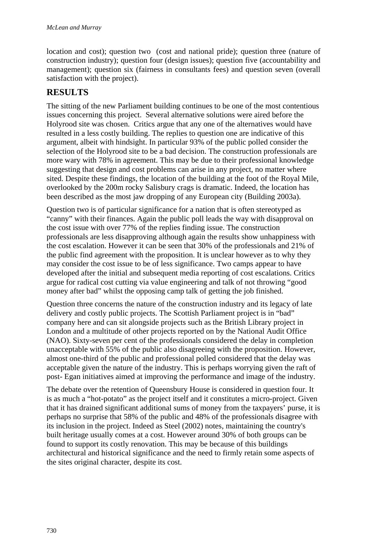location and cost); question two (cost and national pride); question three (nature of construction industry); question four (design issues); question five (accountability and management); question six (fairness in consultants fees) and question seven (overall satisfaction with the project).

## **RESULTS**

The sitting of the new Parliament building continues to be one of the most contentious issues concerning this project. Several alternative solutions were aired before the Holyrood site was chosen. Critics argue that any one of the alternatives would have resulted in a less costly building. The replies to question one are indicative of this argument, albeit with hindsight. In particular 93% of the public polled consider the selection of the Holyrood site to be a bad decision. The construction professionals are more wary with 78% in agreement. This may be due to their professional knowledge suggesting that design and cost problems can arise in any project, no matter where sited. Despite these findings, the location of the building at the foot of the Royal Mile, overlooked by the 200m rocky Salisbury crags is dramatic. Indeed, the location has been described as the most jaw dropping of any European city (Building 2003a).

Question two is of particular significance for a nation that is often stereotyped as "canny" with their finances. Again the public poll leads the way with disapproval on the cost issue with over 77% of the replies finding issue. The construction professionals are less disapproving although again the results show unhappiness with the cost escalation. However it can be seen that 30% of the professionals and 21% of the public find agreement with the proposition. It is unclear however as to why they may consider the cost issue to be of less significance. Two camps appear to have developed after the initial and subsequent media reporting of cost escalations. Critics argue for radical cost cutting via value engineering and talk of not throwing "good money after bad" whilst the opposing camp talk of getting the job finished.

Question three concerns the nature of the construction industry and its legacy of late delivery and costly public projects. The Scottish Parliament project is in "bad" company here and can sit alongside projects such as the British Library project in London and a multitude of other projects reported on by the National Audit Office (NAO). Sixty-seven per cent of the professionals considered the delay in completion unacceptable with 55% of the public also disagreeing with the proposition. However, almost one-third of the public and professional polled considered that the delay was acceptable given the nature of the industry. This is perhaps worrying given the raft of post- Egan initiatives aimed at improving the performance and image of the industry.

The debate over the retention of Queensbury House is considered in question four. It is as much a "hot-potato" as the project itself and it constitutes a micro-project. Given that it has drained significant additional sums of money from the taxpayers' purse, it is perhaps no surprise that 58% of the public and 48% of the professionals disagree with its inclusion in the project. Indeed as Steel (2002) notes, maintaining the country's built heritage usually comes at a cost. However around 30% of both groups can be found to support its costly renovation. This may be because of this buildings architectural and historical significance and the need to firmly retain some aspects of the sites original character, despite its cost.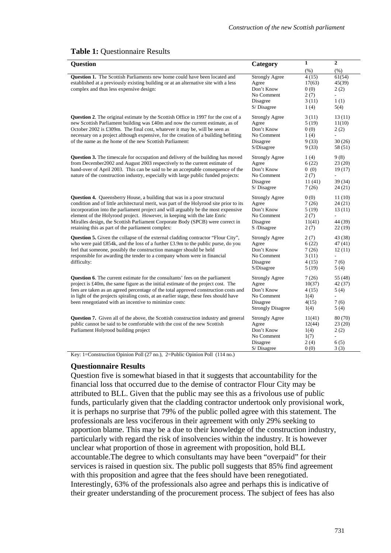#### **Table 1:** Questionnaire Results

| <b>Question</b>                                                                                                                                                                                                                                                                                                                                                                                                                                                                   | Category                                                                                           | $\mathbf{1}$                                      | $\mathbf{2}$                                                                 |
|-----------------------------------------------------------------------------------------------------------------------------------------------------------------------------------------------------------------------------------------------------------------------------------------------------------------------------------------------------------------------------------------------------------------------------------------------------------------------------------|----------------------------------------------------------------------------------------------------|---------------------------------------------------|------------------------------------------------------------------------------|
|                                                                                                                                                                                                                                                                                                                                                                                                                                                                                   |                                                                                                    | (% )                                              | (% )                                                                         |
| Question 1. The Scottish Parliaments new home could have been located and<br>established at a previously existing building or at an alternative site with a less<br>complex and thus less expensive design:                                                                                                                                                                                                                                                                       | <b>Strongly Agree</b><br>Agree<br>Don't Know<br>No Comment<br>Disagree<br>S/Disagree               | 4(15)<br>17(63)<br>0(0)<br>2(7)<br>3(11)<br>1(4)  | 61(54)<br>45(39)<br>2(2)<br>$\overline{a}$<br>1(1)<br>5(4)                   |
| <b>Question 2.</b> The original estimate by the Scottish Office in 1997 for the cost of a<br>new Scottish Parliament building was £40m and now the current estimate, as of<br>October 2002 is £309m. The final cost, whatever it may be, will be seen as<br>necessary on a project although expensive, for the creation of a building befitting<br>of the name as the home of the new Scottish Parliament:                                                                        | <b>Strongly Agree</b><br>Agree<br>Don't Know<br>No Comment<br>Disagree<br>S/Disagree               | 3(11)<br>5(19)<br>0(0)<br>1(4)<br>9(33)<br>9 (33) | 13(11)<br>11(10)<br>2(2)<br>$\overline{a}$<br>30(26)<br>58 (51)              |
| <b>Question 3.</b> The timescale for occupation and delivery of the building has moved<br>from December 2002 and August 2003 respectively to the current estimate of<br>hand-over of April 2003. This can be said to be an acceptable consequence of the<br>nature of the construction industry, especially with large public funded projects:                                                                                                                                    | <b>Strongly Agree</b><br>Agree<br>Don't Know<br>No Comment<br>Disagree<br>S/Disagree               | 1(4)<br>6(22)<br>0(0)<br>2(7)<br>11(41)<br>7(26)  | 9(8)<br>23(20)<br>19(17)<br>$\overline{\phantom{a}}$<br>39 (34)<br>24 (21)   |
| <b>Question 4.</b> Queensberry House, a building that was in a poor structural<br>condition and of little architectural merit, was part of the Holyrood site prior to its<br>incorporation into the parliament project and will arguably be the most expensive<br>element of the Holyrood project. However, in keeping with the late Enric<br>Miralles design, the Scottish Parliament Corporate Body (SPCB) were correct in<br>retaining this as part of the parliament complex: | <b>Strongly Agree</b><br>Agree<br>Don't Know<br>No Comment<br>Disagree<br>S /Disagree              | 0(0)<br>7(26)<br>5(19)<br>2(7)<br>11(41)<br>2(7)  | 11(10)<br>24 (21)<br>13(11)<br>$\overline{\phantom{a}}$<br>44 (39)<br>22(19) |
| <b>Question 5.</b> Given the collapse of the external cladding contractor "Flour City",<br>who were paid £854k, and the loss of a further £3.9m to the public purse, do you<br>feel that someone, possibly the construction manager should be held<br>responsible for awarding the tender to a company whom were in financial<br>difficulty:                                                                                                                                      | <b>Strongly Agree</b><br>Agree<br>Don't Know<br>No Comment<br>Disagree<br>S/Disagree               | 2(7)<br>6(22)<br>7(26)<br>3(11)<br>4(15)<br>5(19) | 43 (38)<br>47 (41)<br>12(11)<br>$\mathbb{L}$<br>7(6)<br>5(4)                 |
| <b>Question 6.</b> The current estimate for the consultants' fees on the parliament<br>project is £40m, the same figure as the initial estimate of the project cost. The<br>fees are taken as an agreed percentage of the total approved construction costs and<br>in light of the projects spiraling costs, at an earlier stage, these fees should have<br>been renegotiated with an incentive to minimize costs:                                                                | <b>Strongly Agree</b><br>Agree<br>Don't Know<br>No Comment<br>Disagree<br><b>Strongly Disagree</b> | 7(26)<br>10(37)<br>4(15)<br>1(4)<br>4(15)<br>1(4) | 55 (48)<br>42 (37)<br>5(4)<br>$\overline{\phantom{a}}$<br>7(6)<br>5(4)       |
| Question 7. Given all of the above, the Scottish construction industry and general<br>public cannot be said to be comfortable with the cost of the new Scottish<br>Parliament Holyrood building project<br>Key: 1=Construction Opinion Poll (27 no.), 2=Public Opinion Poll (114 no.)                                                                                                                                                                                             | <b>Strongly Agree</b><br>Agree<br>Don't Know<br>No Comment<br>Disagree<br>$S/Di$ sagree            | 11(41)<br>12(44)<br>1(4)<br>1(7)<br>2(4)<br>0(0)  | 80 (70)<br>23(20)<br>2(2)<br>$\overline{\phantom{a}}$<br>6(5)<br>3(3)        |

#### **Questionnaire Results**

Question five is somewhat biased in that it suggests that accountability for the financial loss that occurred due to the demise of contractor Flour City may be attributed to BLL. Given that the public may see this as a frivolous use of public funds, particularly given that the cladding contractor undertook only provisional work, it is perhaps no surprise that 79% of the public polled agree with this statement. The professionals are less vociferous in their agreement with only 29% seeking to apportion blame. This may be a due to their knowledge of the construction industry, particularly with regard the risk of insolvencies within the industry. It is however unclear what proportion of those in agreement with proposition, hold BLL accountable.The degree to which consultants may have been "overpaid" for their services is raised in question six. The public poll suggests that 85% find agreement with this proposition and agree that the fees should have been renegotiated. Interestingly, 63% of the professionals also agree and perhaps this is indicative of their greater understanding of the procurement process. The subject of fees has also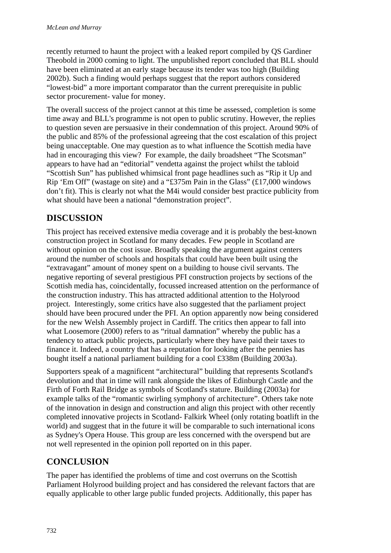recently returned to haunt the project with a leaked report compiled by QS Gardiner Theobold in 2000 coming to light. The unpublished report concluded that BLL should have been eliminated at an early stage because its tender was too high (Building 2002b). Such a finding would perhaps suggest that the report authors considered "lowest-bid" a more important comparator than the current prerequisite in public sector procurement- value for money.

The overall success of the project cannot at this time be assessed, completion is some time away and BLL's programme is not open to public scrutiny. However, the replies to question seven are persuasive in their condemnation of this project. Around 90% of the public and 85% of the professional agreeing that the cost escalation of this project being unacceptable. One may question as to what influence the Scottish media have had in encouraging this view? For example, the daily broadsheet "The Scotsman" appears to have had an "editorial" vendetta against the project whilst the tabloid "Scottish Sun" has published whimsical front page headlines such as "Rip it Up and Rip 'Em Off" (wastage on site) and a "£375m Pain in the Glass" (£17,000 windows don't fit). This is clearly not what the M4i would consider best practice publicity from what should have been a national "demonstration project".

## **DISCUSSION**

This project has received extensive media coverage and it is probably the best-known construction project in Scotland for many decades. Few people in Scotland are without opinion on the cost issue. Broadly speaking the argument against centers around the number of schools and hospitals that could have been built using the "extravagant" amount of money spent on a building to house civil servants. The negative reporting of several prestigious PFI construction projects by sections of the Scottish media has, coincidentally, focussed increased attention on the performance of the construction industry. This has attracted additional attention to the Holyrood project. Interestingly, some critics have also suggested that the parliament project should have been procured under the PFI. An option apparently now being considered for the new Welsh Assembly project in Cardiff. The critics then appear to fall into what Loosemore (2000) refers to as "ritual damnation" whereby the public has a tendency to attack public projects, particularly where they have paid their taxes to finance it. Indeed, a country that has a reputation for looking after the pennies has bought itself a national parliament building for a cool £338m (Building 2003a).

Supporters speak of a magnificent "architectural" building that represents Scotland's devolution and that in time will rank alongside the likes of Edinburgh Castle and the Firth of Forth Rail Bridge as symbols of Scotland's stature. Building (2003a) for example talks of the "romantic swirling symphony of architecture". Others take note of the innovation in design and construction and align this project with other recently completed innovative projects in Scotland- Falkirk Wheel (only rotating boatlift in the world) and suggest that in the future it will be comparable to such international icons as Sydney's Opera House. This group are less concerned with the overspend but are not well represented in the opinion poll reported on in this paper.

## **CONCLUSION**

The paper has identified the problems of time and cost overruns on the Scottish Parliament Holyrood building project and has considered the relevant factors that are equally applicable to other large public funded projects. Additionally, this paper has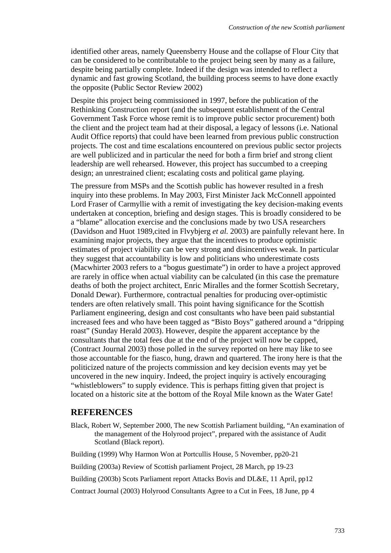identified other areas, namely Queensberry House and the collapse of Flour City that can be considered to be contributable to the project being seen by many as a failure, despite being partially complete. Indeed if the design was intended to reflect a dynamic and fast growing Scotland, the building process seems to have done exactly the opposite (Public Sector Review 2002)

Despite this project being commissioned in 1997, before the publication of the Rethinking Construction report (and the subsequent establishment of the Central Government Task Force whose remit is to improve public sector procurement) both the client and the project team had at their disposal, a legacy of lessons (i.e. National Audit Office reports) that could have been learned from previous public construction projects. The cost and time escalations encountered on previous public sector projects are well publicized and in particular the need for both a firm brief and strong client leadership are well rehearsed. However, this project has succumbed to a creeping design; an unrestrained client; escalating costs and political game playing.

The pressure from MSPs and the Scottish public has however resulted in a fresh inquiry into these problems. In May 2003, First Minister Jack McConnell appointed Lord Fraser of Carmyllie with a remit of investigating the key decision-making events undertaken at conception, briefing and design stages. This is broadly considered to be a "blame" allocation exercise and the conclusions made by two USA researchers (Davidson and Huot 1989,cited in Flvybjerg *et al.* 2003) are painfully relevant here. In examining major projects, they argue that the incentives to produce optimistic estimates of project viability can be very strong and disincentives weak. In particular they suggest that accountability is low and politicians who underestimate costs (Macwhirter 2003 refers to a "bogus guestimate") in order to have a project approved are rarely in office when actual viability can be calculated (in this case the premature deaths of both the project architect, Enric Miralles and the former Scottish Secretary, Donald Dewar). Furthermore, contractual penalties for producing over-optimistic tenders are often relatively small. This point having significance for the Scottish Parliament engineering, design and cost consultants who have been paid substantial increased fees and who have been tagged as "Bisto Boys" gathered around a "dripping roast" (Sunday Herald 2003). However, despite the apparent acceptance by the consultants that the total fees due at the end of the project will now be capped, (Contract Journal 2003) those polled in the survey reported on here may like to see those accountable for the fiasco, hung, drawn and quartered. The irony here is that the politicized nature of the projects commission and key decision events may yet be uncovered in the new inquiry. Indeed, the project inquiry is actively encouraging "whistleblowers" to supply evidence. This is perhaps fitting given that project is located on a historic site at the bottom of the Royal Mile known as the Water Gate!

#### **REFERENCES**

Black, Robert W, September 2000, The new Scottish Parliament building, "An examination of the management of the Holyrood project", prepared with the assistance of Audit Scotland (Black report).

Building (1999) Why Harmon Won at Portcullis House, 5 November, pp20-21

Building (2003a) Review of Scottish parliament Project, 28 March, pp 19-23

Building (2003b) Scots Parliament report Attacks Bovis and DL&E, 11 April, pp12

Contract Journal (2003) Holyrood Consultants Agree to a Cut in Fees, 18 June, pp 4